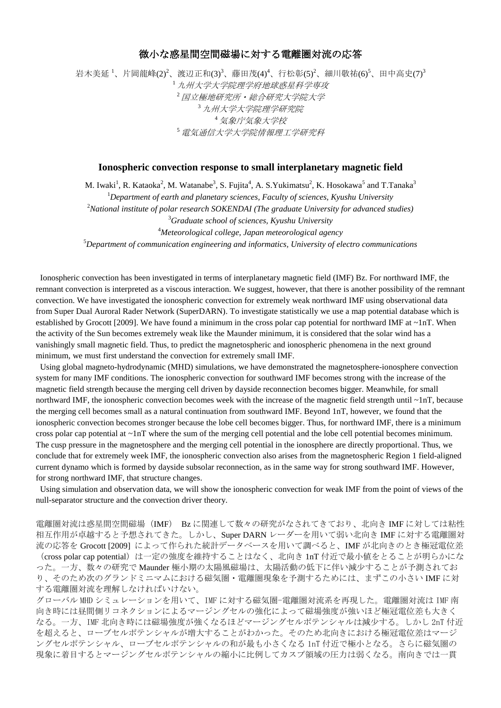## 微小な惑星間空間磁場に対する電離圏対流の応答

岩木美延 <sup>1</sup>、片岡龍峰(2)<sup>2</sup>、渡辺正和(3)<sup>3</sup>、藤田茂(4)<sup>4</sup>、行松彰(5)<sup>2</sup>、細川敬祐(6)<sup>5</sup>、田中高史(7)<sup>3</sup> *九州大学大学院理学府地球惑星科学専攻* 国立極地研究所・総合研究大学院大学 九州大学大学院理学研究院 <sup>4</sup>気象庁気象大学校 電気通信大学大学院情報理工学研究科

## **Ionospheric convection response to small interplanetary magnetic field**

M. Iwaki $^1$ , R. Kataoka $^2$ , M. Watanabe $^3$ , S. Fujita $^4$ , A. S.Yukimatsu $^2$ , K. Hosokawa $^5$  and T.Tanaka $^3$ *Department of earth and planetary sciences, Faculty of sciences, Kyushu University National institute of polar research SOKENDAI (The graduate University for advanced studies) Graduate school of sciences, Kyushu University Meteorological college, Japan meteorological agency Department of communication engineering and informatics, University of electro communications*

Ionospheric convection has been investigated in terms of interplanetary magnetic field (IMF) Bz. For northward IMF, the remnant convection is interpreted as a viscous interaction. We suggest, however, that there is another possibility of the remnant convection. We have investigated the ionospheric convection for extremely weak northward IMF using observational data from Super Dual Auroral Rader Network (SuperDARN). To investigate statistically we use a map potential database which is established by Grocott [2009]. We have found a minimum in the cross polar cap potential for northward IMF at  $\sim$ 1nT. When the activity of the Sun becomes extremely weak like the Maunder minimum, it is considered that the solar wind has a vanishingly small magnetic field. Thus, to predict the magnetospheric and ionospheric phenomena in the next ground minimum, we must first understand the convection for extremely small IMF.

Using global magneto-hydrodynamic (MHD) simulations, we have demonstrated the magnetosphere-ionosphere convection system for many IMF conditions. The ionospheric convection for southward IMF becomes strong with the increase of the magnetic field strength because the merging cell driven by dayside reconnection becomes bigger. Meanwhile, for small northward IMF, the ionospheric convection becomes week with the increase of the magnetic field strength until ~1nT, because the merging cell becomes small as a natural continuation from southward IMF. Beyond 1nT, however, we found that the ionospheric convection becomes stronger because the lobe cell becomes bigger. Thus, for northward IMF, there is a minimum cross polar cap potential at ~1nT where the sum of the merging cell potential and the lobe cell potential becomes minimum. The cusp pressure in the magnetosphere and the merging cell potential in the ionosphere are directly proportional. Thus, we conclude that for extremely week IMF, the ionospheric convection also arises from the magnetospheric Region 1 field-aligned current dynamo which is formed by dayside subsolar reconnection, as in the same way for strong southward IMF. However, for strong northward IMF, that structure changes.

Using simulation and observation data, we will show the ionospheric convection for weak IMF from the point of views of the null-separator structure and the convection driver theory.

電離圏対流は惑星間空間磁場(IMF) Bz に関連して数々の研究がなされてきており、北向き IMF に対しては粘性 相互作用が卓越すると予想されてきた。しかし、Super DARN レーダーを用いて弱い北向き IMF に対する電離圏対 流の応答を Grocott [2009] によって作られた統計データベースを用いて調べると、IMF が北向きのとき極冠電位差 (cross polar cap potential) は一定の強度を維持することはなく、北向き 1nT 付近で最小値をとることが明らかにな った。一方、数々の研究で Maunder 極小期の太陽風磁場は、太陽活動の低下に伴い減少することが予測されてお り、そのため次のグランドミニマムにおける磁気圏・電離圏現象を予測するためには、まずこの小さい IMF に対 する電離圏対流を理解しなければいけない。

グローバル MHD シミュレーションを用いて、IMF に対する磁気圏-電離圏対流系を再現した。電離圏対流は IMF 南 向き時には昼間側リコネクションによるマージングセルの強化によって磁場強度が強いほど極冠電位差も大きく なる。一方、IMF 北向き時には磁場強度が強くなるほどマージングセルポテンシャルは減少する。しかし 2nT 付近 を超えると、ローブセルポテンシャルが増大することがわかった。そのため北向きにおける極冠電位差はマージ ングセルポテンシャル、ローブセルポテンシャルの和が最も小さくなる 1nT 付近で極小となる。さらに磁気圏の 現象に着目するとマージングセルポテンシャルの縮小に比例してカスプ領域の圧力は弱くなる。南向きでは一貫